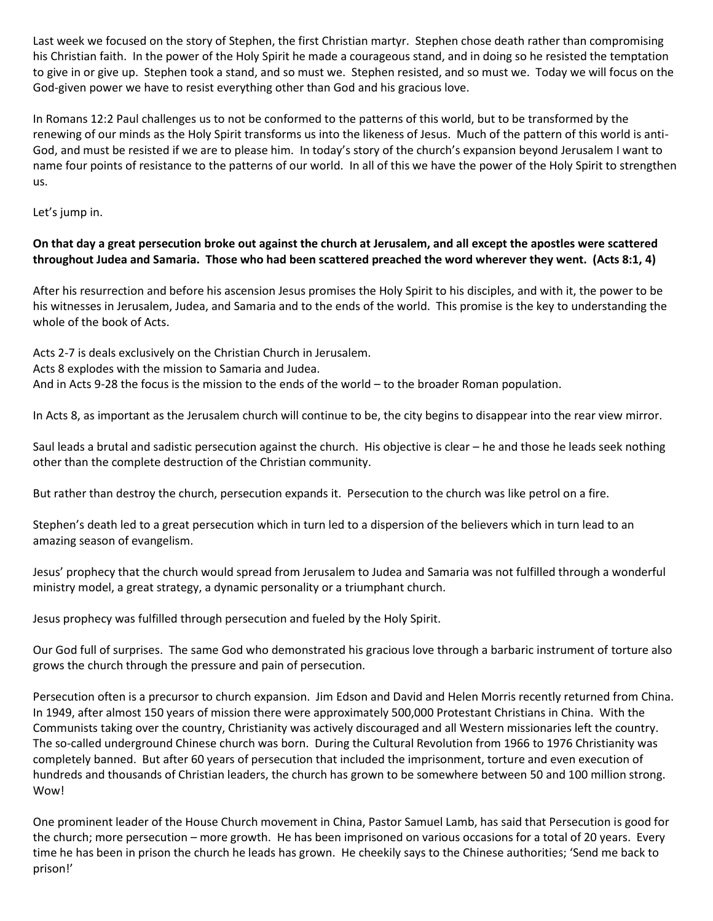Last week we focused on the story of Stephen, the first Christian martyr. Stephen chose death rather than compromising his Christian faith. In the power of the Holy Spirit he made a courageous stand, and in doing so he resisted the temptation to give in or give up. Stephen took a stand, and so must we. Stephen resisted, and so must we. Today we will focus on the God-given power we have to resist everything other than God and his gracious love.

In Romans 12:2 Paul challenges us to not be conformed to the patterns of this world, but to be transformed by the renewing of our minds as the Holy Spirit transforms us into the likeness of Jesus. Much of the pattern of this world is anti-God, and must be resisted if we are to please him. In today's story of the church's expansion beyond Jerusalem I want to name four points of resistance to the patterns of our world. In all of this we have the power of the Holy Spirit to strengthen us.

Let's jump in.

# **On that day a great persecution broke out against the church at Jerusalem, and all except the apostles were scattered throughout Judea and Samaria. Those who had been scattered preached the word wherever they went. (Acts 8:1, 4)**

After his resurrection and before his ascension Jesus promises the Holy Spirit to his disciples, and with it, the power to be his witnesses in Jerusalem, Judea, and Samaria and to the ends of the world. This promise is the key to understanding the whole of the book of Acts.

Acts 2-7 is deals exclusively on the Christian Church in Jerusalem. Acts 8 explodes with the mission to Samaria and Judea. And in Acts 9-28 the focus is the mission to the ends of the world – to the broader Roman population.

In Acts 8, as important as the Jerusalem church will continue to be, the city begins to disappear into the rear view mirror.

Saul leads a brutal and sadistic persecution against the church. His objective is clear – he and those he leads seek nothing other than the complete destruction of the Christian community.

But rather than destroy the church, persecution expands it. Persecution to the church was like petrol on a fire.

Stephen's death led to a great persecution which in turn led to a dispersion of the believers which in turn lead to an amazing season of evangelism.

Jesus' prophecy that the church would spread from Jerusalem to Judea and Samaria was not fulfilled through a wonderful ministry model, a great strategy, a dynamic personality or a triumphant church.

Jesus prophecy was fulfilled through persecution and fueled by the Holy Spirit.

Our God full of surprises. The same God who demonstrated his gracious love through a barbaric instrument of torture also grows the church through the pressure and pain of persecution.

Persecution often is a precursor to church expansion. Jim Edson and David and Helen Morris recently returned from China. In 1949, after almost 150 years of mission there were approximately 500,000 Protestant Christians in China. With the Communists taking over the country, Christianity was actively discouraged and all Western missionaries left the country. The so-called underground Chinese church was born. During the Cultural Revolution from 1966 to 1976 Christianity was completely banned. But after 60 years of persecution that included the imprisonment, torture and even execution of hundreds and thousands of Christian leaders, the church has grown to be somewhere between 50 and 100 million strong. Wow!

One prominent leader of the House Church movement in China, Pastor Samuel Lamb, has said that Persecution is good for the church; more persecution – more growth. He has been imprisoned on various occasions for a total of 20 years. Every time he has been in prison the church he leads has grown. He cheekily says to the Chinese authorities; 'Send me back to prison!'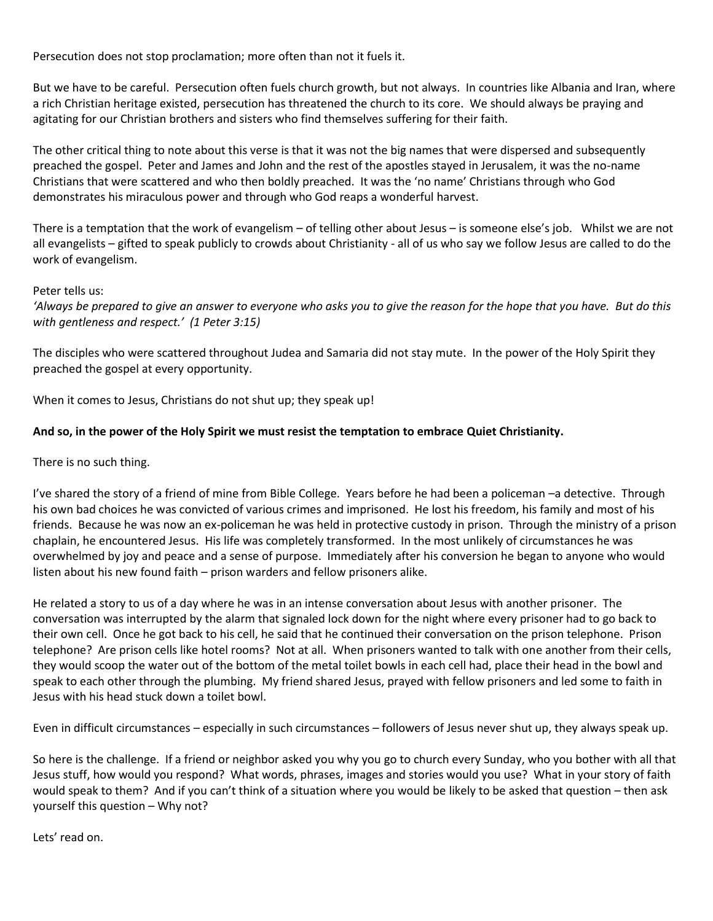Persecution does not stop proclamation; more often than not it fuels it.

But we have to be careful. Persecution often fuels church growth, but not always. In countries like Albania and Iran, where a rich Christian heritage existed, persecution has threatened the church to its core. We should always be praying and agitating for our Christian brothers and sisters who find themselves suffering for their faith.

The other critical thing to note about this verse is that it was not the big names that were dispersed and subsequently preached the gospel. Peter and James and John and the rest of the apostles stayed in Jerusalem, it was the no-name Christians that were scattered and who then boldly preached. It was the 'no name' Christians through who God demonstrates his miraculous power and through who God reaps a wonderful harvest.

There is a temptation that the work of evangelism – of telling other about Jesus – is someone else's job. Whilst we are not all evangelists – gifted to speak publicly to crowds about Christianity - all of us who say we follow Jesus are called to do the work of evangelism.

#### Peter tells us:

*'Always be prepared to give an answer to everyone who asks you to give the reason for the hope that you have. But do this with gentleness and respect.' (1 Peter 3:15)*

The disciples who were scattered throughout Judea and Samaria did not stay mute. In the power of the Holy Spirit they preached the gospel at every opportunity.

When it comes to Jesus, Christians do not shut up; they speak up!

### **And so, in the power of the Holy Spirit we must resist the temptation to embrace Quiet Christianity.**

There is no such thing.

I've shared the story of a friend of mine from Bible College. Years before he had been a policeman –a detective. Through his own bad choices he was convicted of various crimes and imprisoned. He lost his freedom, his family and most of his friends. Because he was now an ex-policeman he was held in protective custody in prison. Through the ministry of a prison chaplain, he encountered Jesus. His life was completely transformed. In the most unlikely of circumstances he was overwhelmed by joy and peace and a sense of purpose. Immediately after his conversion he began to anyone who would listen about his new found faith – prison warders and fellow prisoners alike.

He related a story to us of a day where he was in an intense conversation about Jesus with another prisoner. The conversation was interrupted by the alarm that signaled lock down for the night where every prisoner had to go back to their own cell. Once he got back to his cell, he said that he continued their conversation on the prison telephone. Prison telephone? Are prison cells like hotel rooms? Not at all. When prisoners wanted to talk with one another from their cells, they would scoop the water out of the bottom of the metal toilet bowls in each cell had, place their head in the bowl and speak to each other through the plumbing. My friend shared Jesus, prayed with fellow prisoners and led some to faith in Jesus with his head stuck down a toilet bowl.

Even in difficult circumstances – especially in such circumstances – followers of Jesus never shut up, they always speak up.

So here is the challenge. If a friend or neighbor asked you why you go to church every Sunday, who you bother with all that Jesus stuff, how would you respond? What words, phrases, images and stories would you use? What in your story of faith would speak to them? And if you can't think of a situation where you would be likely to be asked that question – then ask yourself this question – Why not?

Lets' read on.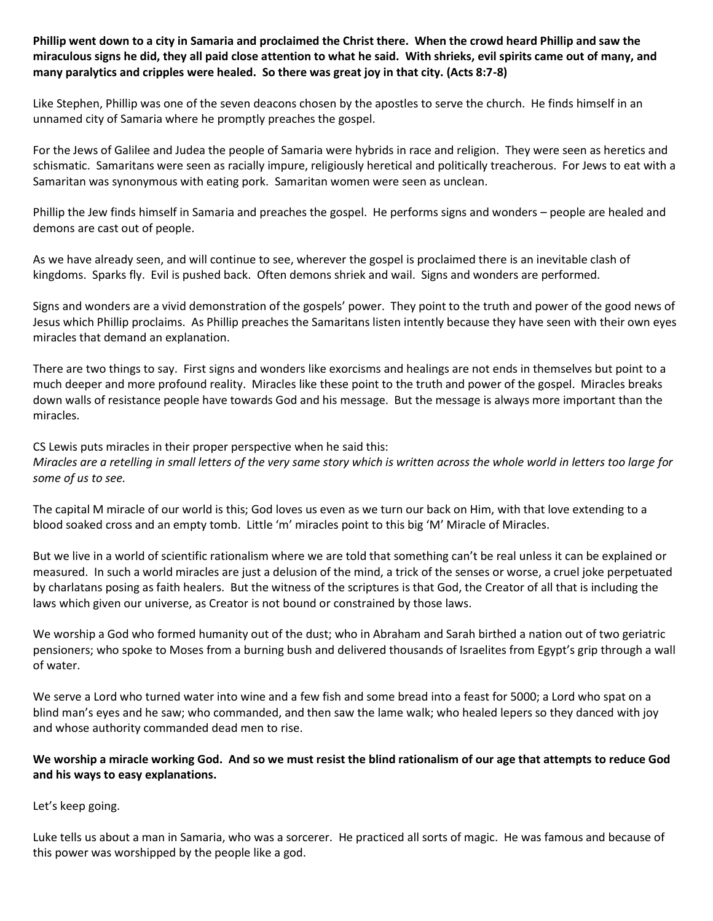**Phillip went down to a city in Samaria and proclaimed the Christ there. When the crowd heard Phillip and saw the miraculous signs he did, they all paid close attention to what he said. With shrieks, evil spirits came out of many, and many paralytics and cripples were healed. So there was great joy in that city. (Acts 8:7-8)**

Like Stephen, Phillip was one of the seven deacons chosen by the apostles to serve the church. He finds himself in an unnamed city of Samaria where he promptly preaches the gospel.

For the Jews of Galilee and Judea the people of Samaria were hybrids in race and religion. They were seen as heretics and schismatic. Samaritans were seen as racially impure, religiously heretical and politically treacherous. For Jews to eat with a Samaritan was synonymous with eating pork. Samaritan women were seen as unclean.

Phillip the Jew finds himself in Samaria and preaches the gospel. He performs signs and wonders – people are healed and demons are cast out of people.

As we have already seen, and will continue to see, wherever the gospel is proclaimed there is an inevitable clash of kingdoms. Sparks fly. Evil is pushed back. Often demons shriek and wail. Signs and wonders are performed.

Signs and wonders are a vivid demonstration of the gospels' power. They point to the truth and power of the good news of Jesus which Phillip proclaims. As Phillip preaches the Samaritans listen intently because they have seen with their own eyes miracles that demand an explanation.

There are two things to say. First signs and wonders like exorcisms and healings are not ends in themselves but point to a much deeper and more profound reality. Miracles like these point to the truth and power of the gospel. Miracles breaks down walls of resistance people have towards God and his message. But the message is always more important than the miracles.

CS Lewis puts miracles in their proper perspective when he said this:

*Miracles are a retelling in small letters of the very same story which is written across the whole world in letters too large for some of us to see.*

The capital M miracle of our world is this; God loves us even as we turn our back on Him, with that love extending to a blood soaked cross and an empty tomb. Little 'm' miracles point to this big 'M' Miracle of Miracles.

But we live in a world of scientific rationalism where we are told that something can't be real unless it can be explained or measured. In such a world miracles are just a delusion of the mind, a trick of the senses or worse, a cruel joke perpetuated by charlatans posing as faith healers. But the witness of the scriptures is that God, the Creator of all that is including the laws which given our universe, as Creator is not bound or constrained by those laws.

We worship a God who formed humanity out of the dust; who in Abraham and Sarah birthed a nation out of two geriatric pensioners; who spoke to Moses from a burning bush and delivered thousands of Israelites from Egypt's grip through a wall of water.

We serve a Lord who turned water into wine and a few fish and some bread into a feast for 5000; a Lord who spat on a blind man's eyes and he saw; who commanded, and then saw the lame walk; who healed lepers so they danced with joy and whose authority commanded dead men to rise.

### **We worship a miracle working God. And so we must resist the blind rationalism of our age that attempts to reduce God and his ways to easy explanations.**

Let's keep going.

Luke tells us about a man in Samaria, who was a sorcerer. He practiced all sorts of magic. He was famous and because of this power was worshipped by the people like a god.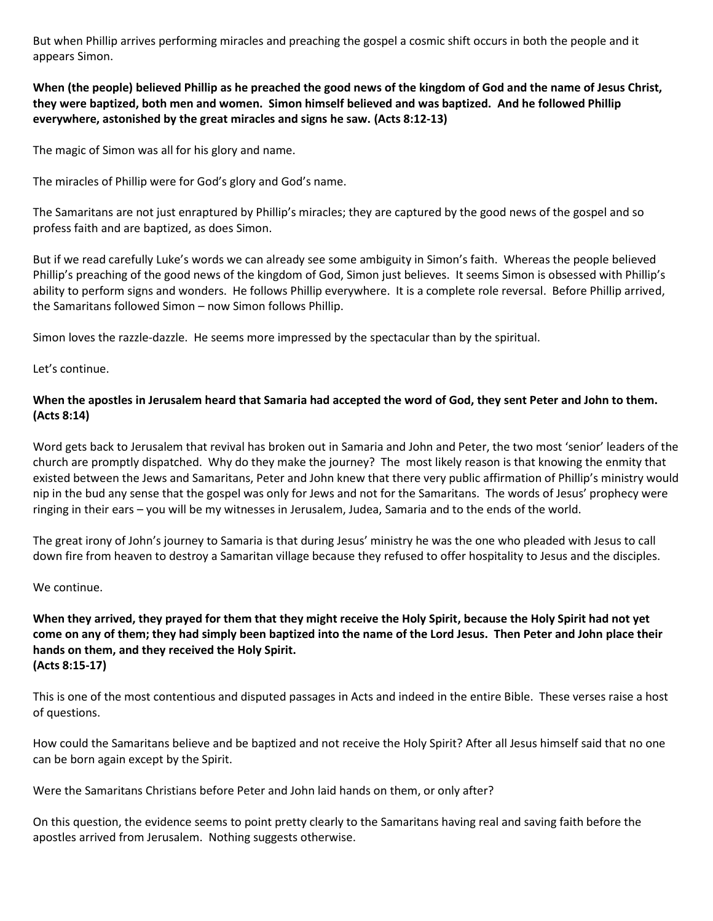But when Phillip arrives performing miracles and preaching the gospel a cosmic shift occurs in both the people and it appears Simon.

# **When (the people) believed Phillip as he preached the good news of the kingdom of God and the name of Jesus Christ, they were baptized, both men and women. Simon himself believed and was baptized. And he followed Phillip everywhere, astonished by the great miracles and signs he saw. (Acts 8:12-13)**

The magic of Simon was all for his glory and name.

The miracles of Phillip were for God's glory and God's name.

The Samaritans are not just enraptured by Phillip's miracles; they are captured by the good news of the gospel and so profess faith and are baptized, as does Simon.

But if we read carefully Luke's words we can already see some ambiguity in Simon's faith. Whereas the people believed Phillip's preaching of the good news of the kingdom of God, Simon just believes. It seems Simon is obsessed with Phillip's ability to perform signs and wonders. He follows Phillip everywhere. It is a complete role reversal. Before Phillip arrived, the Samaritans followed Simon – now Simon follows Phillip.

Simon loves the razzle-dazzle. He seems more impressed by the spectacular than by the spiritual.

Let's continue.

# **When the apostles in Jerusalem heard that Samaria had accepted the word of God, they sent Peter and John to them. (Acts 8:14)**

Word gets back to Jerusalem that revival has broken out in Samaria and John and Peter, the two most 'senior' leaders of the church are promptly dispatched. Why do they make the journey? The most likely reason is that knowing the enmity that existed between the Jews and Samaritans, Peter and John knew that there very public affirmation of Phillip's ministry would nip in the bud any sense that the gospel was only for Jews and not for the Samaritans. The words of Jesus' prophecy were ringing in their ears – you will be my witnesses in Jerusalem, Judea, Samaria and to the ends of the world.

The great irony of John's journey to Samaria is that during Jesus' ministry he was the one who pleaded with Jesus to call down fire from heaven to destroy a Samaritan village because they refused to offer hospitality to Jesus and the disciples.

#### We continue.

# **When they arrived, they prayed for them that they might receive the Holy Spirit, because the Holy Spirit had not yet come on any of them; they had simply been baptized into the name of the Lord Jesus. Then Peter and John place their hands on them, and they received the Holy Spirit. (Acts 8:15-17)**

This is one of the most contentious and disputed passages in Acts and indeed in the entire Bible. These verses raise a host of questions.

How could the Samaritans believe and be baptized and not receive the Holy Spirit? After all Jesus himself said that no one can be born again except by the Spirit.

Were the Samaritans Christians before Peter and John laid hands on them, or only after?

On this question, the evidence seems to point pretty clearly to the Samaritans having real and saving faith before the apostles arrived from Jerusalem. Nothing suggests otherwise.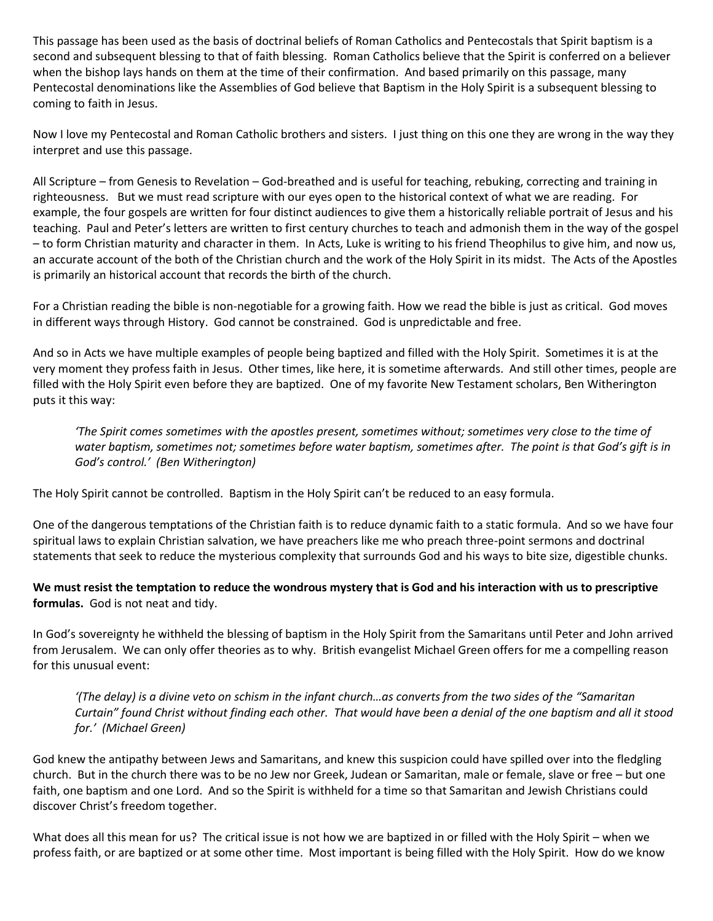This passage has been used as the basis of doctrinal beliefs of Roman Catholics and Pentecostals that Spirit baptism is a second and subsequent blessing to that of faith blessing. Roman Catholics believe that the Spirit is conferred on a believer when the bishop lays hands on them at the time of their confirmation. And based primarily on this passage, many Pentecostal denominations like the Assemblies of God believe that Baptism in the Holy Spirit is a subsequent blessing to coming to faith in Jesus.

Now I love my Pentecostal and Roman Catholic brothers and sisters. I just thing on this one they are wrong in the way they interpret and use this passage.

All Scripture – from Genesis to Revelation – God-breathed and is useful for teaching, rebuking, correcting and training in righteousness. But we must read scripture with our eyes open to the historical context of what we are reading. For example, the four gospels are written for four distinct audiences to give them a historically reliable portrait of Jesus and his teaching. Paul and Peter's letters are written to first century churches to teach and admonish them in the way of the gospel – to form Christian maturity and character in them. In Acts, Luke is writing to his friend Theophilus to give him, and now us, an accurate account of the both of the Christian church and the work of the Holy Spirit in its midst. The Acts of the Apostles is primarily an historical account that records the birth of the church.

For a Christian reading the bible is non-negotiable for a growing faith. How we read the bible is just as critical. God moves in different ways through History. God cannot be constrained. God is unpredictable and free.

And so in Acts we have multiple examples of people being baptized and filled with the Holy Spirit. Sometimes it is at the very moment they profess faith in Jesus. Other times, like here, it is sometime afterwards. And still other times, people are filled with the Holy Spirit even before they are baptized. One of my favorite New Testament scholars, Ben Witherington puts it this way:

*'The Spirit comes sometimes with the apostles present, sometimes without; sometimes very close to the time of water baptism, sometimes not; sometimes before water baptism, sometimes after. The point is that God's gift is in God's control.' (Ben Witherington)*

The Holy Spirit cannot be controlled. Baptism in the Holy Spirit can't be reduced to an easy formula.

One of the dangerous temptations of the Christian faith is to reduce dynamic faith to a static formula. And so we have four spiritual laws to explain Christian salvation, we have preachers like me who preach three-point sermons and doctrinal statements that seek to reduce the mysterious complexity that surrounds God and his ways to bite size, digestible chunks.

**We must resist the temptation to reduce the wondrous mystery that is God and his interaction with us to prescriptive formulas.** God is not neat and tidy.

In God's sovereignty he withheld the blessing of baptism in the Holy Spirit from the Samaritans until Peter and John arrived from Jerusalem. We can only offer theories as to why. British evangelist Michael Green offers for me a compelling reason for this unusual event:

*'(The delay) is a divine veto on schism in the infant church…as converts from the two sides of the "Samaritan Curtain" found Christ without finding each other. That would have been a denial of the one baptism and all it stood for.' (Michael Green)*

God knew the antipathy between Jews and Samaritans, and knew this suspicion could have spilled over into the fledgling church. But in the church there was to be no Jew nor Greek, Judean or Samaritan, male or female, slave or free – but one faith, one baptism and one Lord. And so the Spirit is withheld for a time so that Samaritan and Jewish Christians could discover Christ's freedom together.

What does all this mean for us? The critical issue is not how we are baptized in or filled with the Holy Spirit – when we profess faith, or are baptized or at some other time. Most important is being filled with the Holy Spirit. How do we know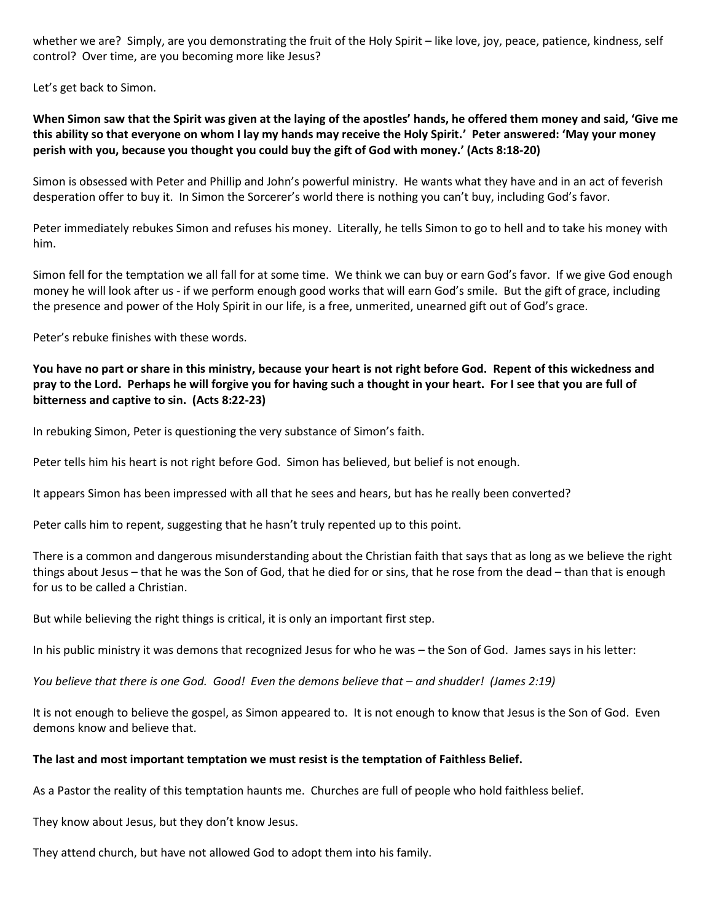whether we are? Simply, are you demonstrating the fruit of the Holy Spirit – like love, joy, peace, patience, kindness, self control? Over time, are you becoming more like Jesus?

Let's get back to Simon.

**When Simon saw that the Spirit was given at the laying of the apostles' hands, he offered them money and said, 'Give me this ability so that everyone on whom I lay my hands may receive the Holy Spirit.' Peter answered: 'May your money perish with you, because you thought you could buy the gift of God with money.' (Acts 8:18-20)**

Simon is obsessed with Peter and Phillip and John's powerful ministry. He wants what they have and in an act of feverish desperation offer to buy it. In Simon the Sorcerer's world there is nothing you can't buy, including God's favor.

Peter immediately rebukes Simon and refuses his money. Literally, he tells Simon to go to hell and to take his money with him.

Simon fell for the temptation we all fall for at some time. We think we can buy or earn God's favor. If we give God enough money he will look after us - if we perform enough good works that will earn God's smile. But the gift of grace, including the presence and power of the Holy Spirit in our life, is a free, unmerited, unearned gift out of God's grace.

Peter's rebuke finishes with these words.

# **You have no part or share in this ministry, because your heart is not right before God. Repent of this wickedness and pray to the Lord. Perhaps he will forgive you for having such a thought in your heart. For I see that you are full of bitterness and captive to sin. (Acts 8:22-23)**

In rebuking Simon, Peter is questioning the very substance of Simon's faith.

Peter tells him his heart is not right before God. Simon has believed, but belief is not enough.

It appears Simon has been impressed with all that he sees and hears, but has he really been converted?

Peter calls him to repent, suggesting that he hasn't truly repented up to this point.

There is a common and dangerous misunderstanding about the Christian faith that says that as long as we believe the right things about Jesus – that he was the Son of God, that he died for or sins, that he rose from the dead – than that is enough for us to be called a Christian.

But while believing the right things is critical, it is only an important first step.

In his public ministry it was demons that recognized Jesus for who he was – the Son of God. James says in his letter:

*You believe that there is one God. Good! Even the demons believe that – and shudder! (James 2:19)*

It is not enough to believe the gospel, as Simon appeared to. It is not enough to know that Jesus is the Son of God. Even demons know and believe that.

#### **The last and most important temptation we must resist is the temptation of Faithless Belief.**

As a Pastor the reality of this temptation haunts me. Churches are full of people who hold faithless belief.

They know about Jesus, but they don't know Jesus.

They attend church, but have not allowed God to adopt them into his family.